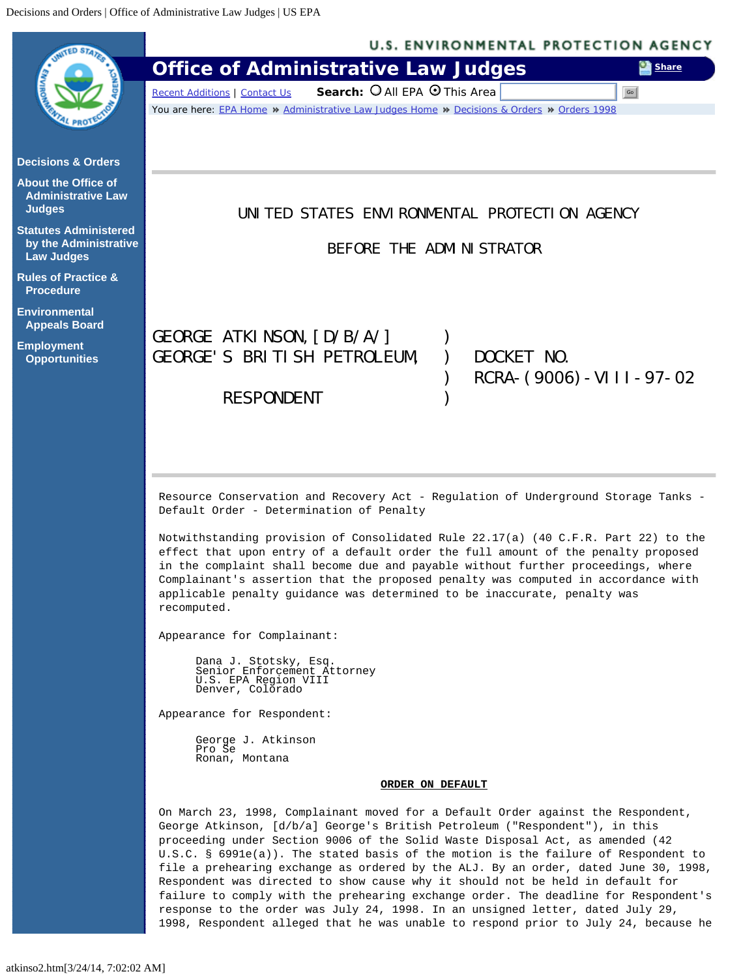<span id="page-0-0"></span>

1998, Respondent alleged that he was unable to respond prior to July 24, because he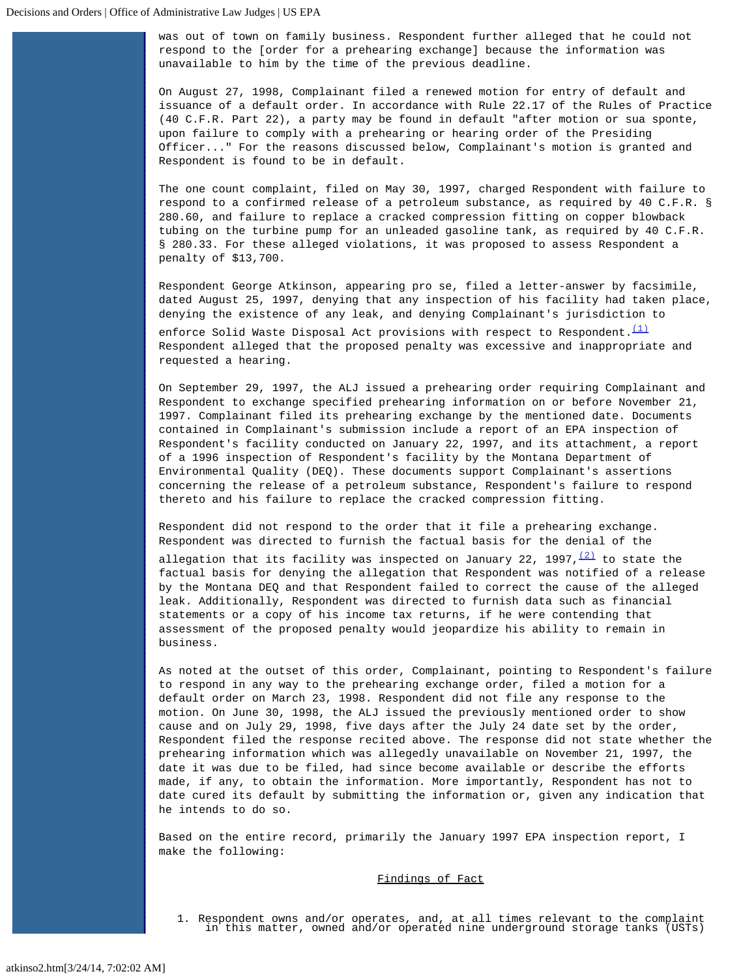was out of town on family business. Respondent further alleged that he could not respond to the [order for a prehearing exchange] because the information was unavailable to him by the time of the previous deadline.

On August 27, 1998, Complainant filed a renewed motion for entry of default and issuance of a default order. In accordance with Rule 22.17 of the Rules of Practice (40 C.F.R. Part 22), a party may be found in default "after motion or sua sponte, upon failure to comply with a prehearing or hearing order of the Presiding Officer..." For the reasons discussed below, Complainant's motion is granted and Respondent is found to be in default.

The one count complaint, filed on May 30, 1997, charged Respondent with failure to respond to a confirmed release of a petroleum substance, as required by 40 C.F.R. § 280.60, and failure to replace a cracked compression fitting on copper blowback tubing on the turbine pump for an unleaded gasoline tank, as required by 40 C.F.R. § 280.33. For these alleged violations, it was proposed to assess Respondent a penalty of \$13,700.

Respondent George Atkinson, appearing pro se, filed a letter-answer by facsimile, dated August 25, 1997, denying that any inspection of his facility had taken place, denying the existence of any leak, and denying Complainant's jurisdiction to enforce Solid Waste Disposal Act provisions with respect to Respondent.  $(1)$ Respondent alleged that the proposed penalty was excessive and inappropriate and requested a hearing.

On September 29, 1997, the ALJ issued a prehearing order requiring Complainant and Respondent to exchange specified prehearing information on or before November 21, 1997. Complainant filed its prehearing exchange by the mentioned date. Documents contained in Complainant's submission include a report of an EPA inspection of Respondent's facility conducted on January 22, 1997, and its attachment, a report of a 1996 inspection of Respondent's facility by the Montana Department of Environmental Quality (DEQ). These documents support Complainant's assertions concerning the release of a petroleum substance, Respondent's failure to respond thereto and his failure to replace the cracked compression fitting.

Respondent did not respond to the order that it file a prehearing exchange. Respondent was directed to furnish the factual basis for the denial of the

allegation that its facility was inspected on January 22, 1997,  $\frac{(2)}{2}$  $\frac{(2)}{2}$  $\frac{(2)}{2}$  to state the factual basis for denying the allegation that Respondent was notified of a release by the Montana DEQ and that Respondent failed to correct the cause of the alleged leak. Additionally, Respondent was directed to furnish data such as financial statements or a copy of his income tax returns, if he were contending that assessment of the proposed penalty would jeopardize his ability to remain in business.

As noted at the outset of this order, Complainant, pointing to Respondent's failure to respond in any way to the prehearing exchange order, filed a motion for a default order on March 23, 1998. Respondent did not file any response to the motion. On June 30, 1998, the ALJ issued the previously mentioned order to show cause and on July 29, 1998, five days after the July 24 date set by the order, Respondent filed the response recited above. The response did not state whether the prehearing information which was allegedly unavailable on November 21, 1997, the date it was due to be filed, had since become available or describe the efforts made, if any, to obtain the information. More importantly, Respondent has not to date cured its default by submitting the information or, given any indication that he intends to do so.

Based on the entire record, primarily the January 1997 EPA inspection report, I make the following:

## Findings of Fact

1. Respondent owns and/or operates, and, at all times relevant to the complaint in this matter, owned and/or operated nine underground storage tanks (USTs)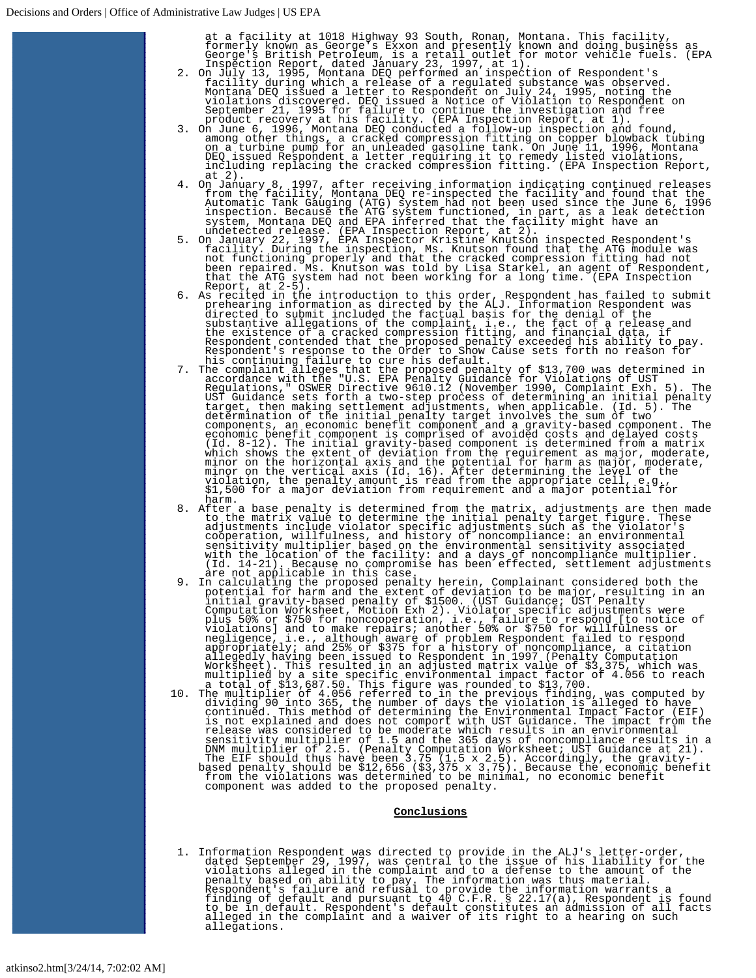- 
- at a facility at 1018 Highway 93 South, Ronan, Montana. This facility,<br>formerly known as George's Exxon and presently known and doing business as<br>George's British Petroleum, is a retail outlet for motor vehicle fuels. (EPA
- 4. On January 8, 1997, after receiving information indicating continued releases<br>from the facility, Montana DEQ re-inspected the facility and found that the<br>automatic Tank Gauging (ATG) system had not been used since the J
- 
- 
- Report, at 2-5).<br>In the introduction to this order, Respondent has failed to submit<br>prehearing information as directed by the ALJ. Information Respondent<br>directed to submit included the factual basis for the denial of the<br>
- 8. After a base penalty is determined from the matrix, adjustments are then made to the matrix value to determine the initial penalty target figure. These adjustments include violator specific adjustments such as the violator's<br>cooperation, willfulness, and history of noncompliance: an environmental<br>sensitivity multiplier based on the environmental sensitivity associated<br>wit
- (1.14-21). Because no compromise has been effected, settlement adjustments<br>are not applicable in this case.<br>In calculating the proposed penalty herein, Complainant considered both the<br>potential for harm and the extent of
- 

## **Conclusions**

1. Information Respondent was directed to provide in the ALJ's letter-order,<br>dated September 29, 1997, was central to the issue of his liability for the<br>violations alleged in the complaint and to a defense to the amount of allegations.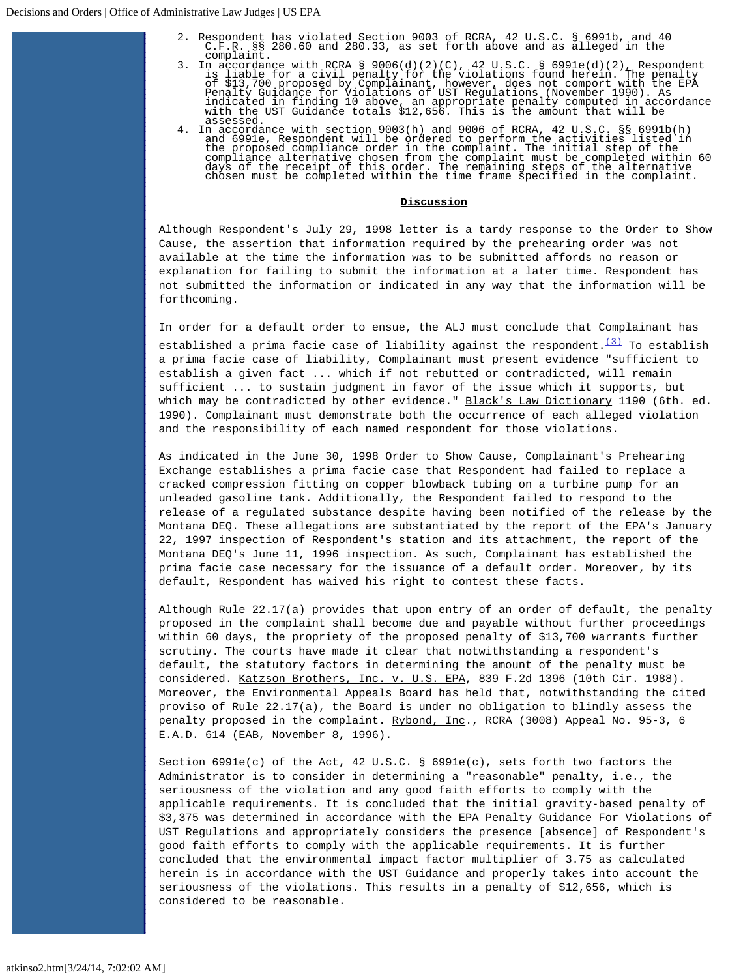- 2. Respondent has violated Section 9003 of RCRA, 42 U.S.C. § 6991b, and 40 C.F.R. §§ 280.60 and 280.33, as set forth above and as alleged in the
- complaint.<br>3. In accordance with RCRA § 9006(d)(2)(C), 42 U.S.C. § 6991e(d)(2), Respondent<br>is liable for a civil penalty for the violations found herein. The penalty<br>of \$13,700 proposed by Complainant, however, does not co
- assessed.<br>4. In accordance with section 9003(h) and 9006 of RCRA, 42 U.S.C 4. In accordance with section 9003(h) and 9006 of RCRA, 42 U.S.C. §§ 6991b(h) and 6991e, Respondent will be ordered to perform the activities listed in the proposed compliance order in the complaint. The initial step of th

## **Discussion**

Although Respondent's July 29, 1998 letter is a tardy response to the Order to Show Cause, the assertion that information required by the prehearing order was not available at the time the information was to be submitted affords no reason or explanation for failing to submit the information at a later time. Respondent has not submitted the information or indicated in any way that the information will be forthcoming.

In order for a default order to ensue, the ALJ must conclude that Complainant has established a prima facie case of liability against the respondent.  $\frac{(3)}{2}$  $\frac{(3)}{2}$  $\frac{(3)}{2}$  To establish a prima facie case of liability, Complainant must present evidence "sufficient to establish a given fact ... which if not rebutted or contradicted, will remain sufficient ... to sustain judgment in favor of the issue which it supports, but which may be contradicted by other evidence." Black's Law Dictionary 1190 (6th. ed. 1990). Complainant must demonstrate both the occurrence of each alleged violation and the responsibility of each named respondent for those violations.

As indicated in the June 30, 1998 Order to Show Cause, Complainant's Prehearing Exchange establishes a prima facie case that Respondent had failed to replace a cracked compression fitting on copper blowback tubing on a turbine pump for an unleaded gasoline tank. Additionally, the Respondent failed to respond to the release of a regulated substance despite having been notified of the release by the Montana DEQ. These allegations are substantiated by the report of the EPA's January 22, 1997 inspection of Respondent's station and its attachment, the report of the Montana DEQ's June 11, 1996 inspection. As such, Complainant has established the prima facie case necessary for the issuance of a default order. Moreover, by its default, Respondent has waived his right to contest these facts.

Although Rule 22.17(a) provides that upon entry of an order of default, the penalty proposed in the complaint shall become due and payable without further proceedings within 60 days, the propriety of the proposed penalty of \$13,700 warrants further scrutiny. The courts have made it clear that notwithstanding a respondent's default, the statutory factors in determining the amount of the penalty must be considered. Katzson Brothers, Inc. v. U.S. EPA, 839 F.2d 1396 (10th Cir. 1988). Moreover, the Environmental Appeals Board has held that, notwithstanding the cited proviso of Rule 22.17(a), the Board is under no obligation to blindly assess the penalty proposed in the complaint. Rybond, Inc., RCRA (3008) Appeal No. 95-3, 6 E.A.D. 614 (EAB, November 8, 1996).

Section  $6991e(c)$  of the Act, 42 U.S.C. §  $6991e(c)$ , sets forth two factors the Administrator is to consider in determining a "reasonable" penalty, i.e., the seriousness of the violation and any good faith efforts to comply with the applicable requirements. It is concluded that the initial gravity-based penalty of \$3,375 was determined in accordance with the EPA Penalty Guidance For Violations of UST Regulations and appropriately considers the presence [absence] of Respondent's good faith efforts to comply with the applicable requirements. It is further concluded that the environmental impact factor multiplier of 3.75 as calculated herein is in accordance with the UST Guidance and properly takes into account the seriousness of the violations. This results in a penalty of \$12,656, which is considered to be reasonable.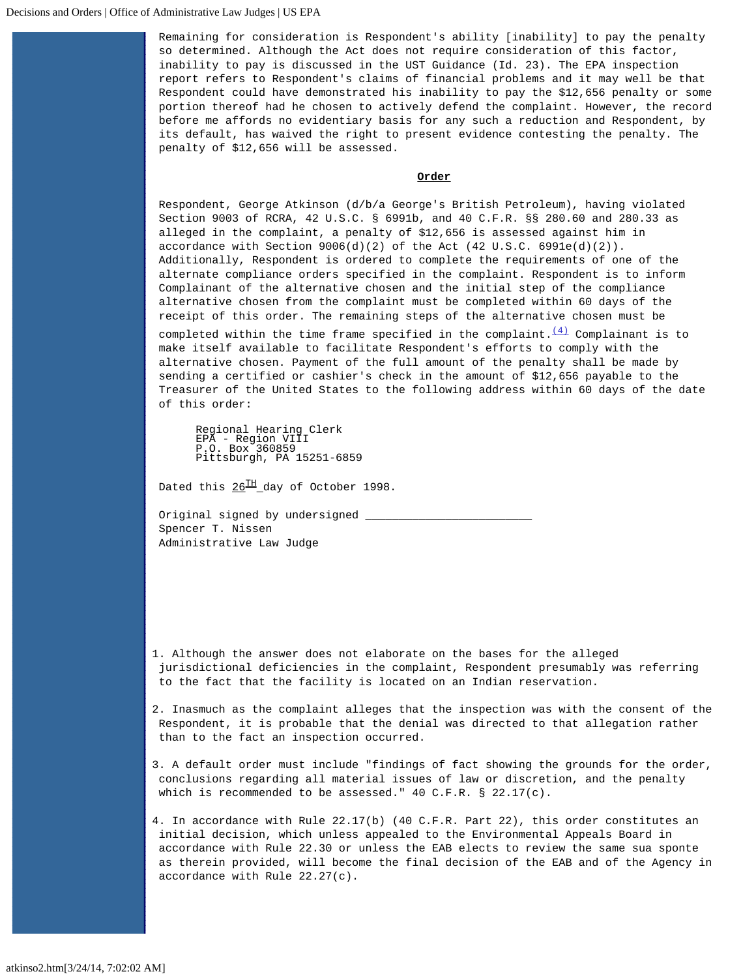Remaining for consideration is Respondent's ability [inability] to pay the penalty so determined. Although the Act does not require consideration of this factor, inability to pay is discussed in the UST Guidance (Id. 23). The EPA inspection report refers to Respondent's claims of financial problems and it may well be that Respondent could have demonstrated his inability to pay the \$12,656 penalty or some portion thereof had he chosen to actively defend the complaint. However, the record before me affords no evidentiary basis for any such a reduction and Respondent, by its default, has waived the right to present evidence contesting the penalty. The penalty of \$12,656 will be assessed.

## **Order**

Respondent, George Atkinson (d/b/a George's British Petroleum), having violated Section 9003 of RCRA, 42 U.S.C. § 6991b, and 40 C.F.R. §§ 280.60 and 280.33 as alleged in the complaint, a penalty of \$12,656 is assessed against him in accordance with Section  $9006(d)(2)$  of the Act  $(42 \text{ U.S.C. } 6991e(d)(2))$ . Additionally, Respondent is ordered to complete the requirements of one of the alternate compliance orders specified in the complaint. Respondent is to inform Complainant of the alternative chosen and the initial step of the compliance alternative chosen from the complaint must be completed within 60 days of the receipt of this order. The remaining steps of the alternative chosen must be

completed within the time frame specified in the complaint. $\frac{(4)}{4}$  $\frac{(4)}{4}$  $\frac{(4)}{4}$  Complainant is to make itself available to facilitate Respondent's efforts to comply with the alternative chosen. Payment of the full amount of the penalty shall be made by sending a certified or cashier's check in the amount of \$12,656 payable to the Treasurer of the United States to the following address within 60 days of the date of this order:

Regional Hearing Clerk EPA - Region VIII P.O. Box 360859 Pittsburgh, PA 15251-6859

Dated this  $26^{TH}$  day of October 1998.

Original signed by undersigned \_ Spencer T. Nissen Administrative Law Judge

<span id="page-4-0"></span>1. Although the answer does not elaborate on the bases for the alleged jurisdictional deficiencies in the complaint, Respondent presumably was referring to the fact that the facility is located on an Indian reservation.

<span id="page-4-1"></span>2. Inasmuch as the complaint alleges that the inspection was with the consent of the Respondent, it is probable that the denial was directed to that allegation rather than to the fact an inspection occurred.

<span id="page-4-2"></span>3. A default order must include "findings of fact showing the grounds for the order, conclusions regarding all material issues of law or discretion, and the penalty which is recommended to be assessed." 40 C.F.R. § 22.17(c).

<span id="page-4-3"></span>4. In accordance with Rule 22.17(b) (40 C.F.R. Part 22), this order constitutes an initial decision, which unless appealed to the Environmental Appeals Board in accordance with Rule 22.30 or unless the EAB elects to review the same sua sponte as therein provided, will become the final decision of the EAB and of the Agency in accordance with Rule 22.27(c).